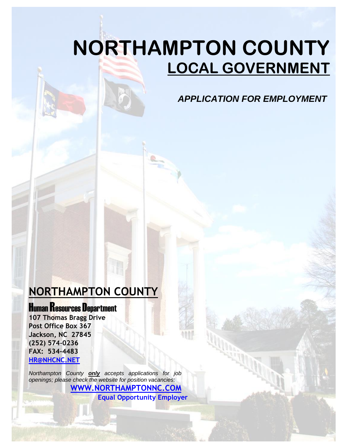# **NORTHAMPTON COUNTY LOCAL GOVERNMENT**

*APPLICATION FOR EMPLOYMENT*

## **NORTHAMPTON COUNTY**

**Human Resources Department** 

**107 Thomas Bragg Drive Post Office Box 367 Jackson, NC 27845 (252) 574-0236 FAX: 534-4483 [HR@NHCNC.NET](mailto:HR@NHCNC.NET)**

*Northampton County only accepts applications for job openings; please check the website for position vacancies:* **[WWW.NORTHAMPTONNC.COM](http://www.northamptonnc.com/)**

**Equal Opportunity Employer**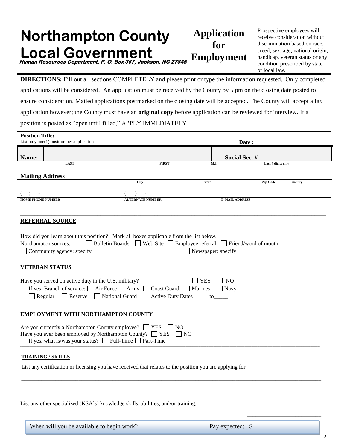#### **Northampton County Local Government Application for Employment Human Resources Department, P. O. Box 367, Jackson, NC 27845**

Prospective employees will receive consideration without discrimination based on race, creed, sex, age, national origin, handicap, veteran status or any condition prescribed by state or local law.

**DIRECTIONS:** Fill out all sections COMPLETELY and please print or type the information requested. Only completed applications will be considered. An application must be received by the County by 5 pm on the closing date posted to ensure consideration. Mailed applications postmarked on the closing date will be accepted. The County will accept a fax application however; the County must have an **original copy** before application can be reviewed for interview. If a position is posted as "open until filled," APPLY IMMEDIATELY.

| <b>Position Title:</b>                                                                                                                                                                                                                                                            |                                                                         |      |                                       |                    |  |  |  |  |
|-----------------------------------------------------------------------------------------------------------------------------------------------------------------------------------------------------------------------------------------------------------------------------------|-------------------------------------------------------------------------|------|---------------------------------------|--------------------|--|--|--|--|
| List only one(1) position per application                                                                                                                                                                                                                                         |                                                                         |      | Date:                                 |                    |  |  |  |  |
| Name:                                                                                                                                                                                                                                                                             |                                                                         |      | Social Sec. #                         |                    |  |  |  |  |
| LAST                                                                                                                                                                                                                                                                              | <b>FIRST</b>                                                            | M.I. |                                       | Last 4 digits only |  |  |  |  |
| <b>Mailing Address</b>                                                                                                                                                                                                                                                            |                                                                         |      |                                       |                    |  |  |  |  |
|                                                                                                                                                                                                                                                                                   | City<br><b>State</b>                                                    |      | Zip Code                              | County             |  |  |  |  |
|                                                                                                                                                                                                                                                                                   |                                                                         |      |                                       |                    |  |  |  |  |
| $\rightarrow$<br><b>HOME PHONE NUMBER</b><br><b>ALTERNATE NUMBER</b><br><b>E-MAIL ADDRESS</b>                                                                                                                                                                                     |                                                                         |      |                                       |                    |  |  |  |  |
|                                                                                                                                                                                                                                                                                   |                                                                         |      |                                       |                    |  |  |  |  |
|                                                                                                                                                                                                                                                                                   |                                                                         |      |                                       |                    |  |  |  |  |
| <b>REFERRAL SOURCE</b>                                                                                                                                                                                                                                                            |                                                                         |      |                                       |                    |  |  |  |  |
|                                                                                                                                                                                                                                                                                   |                                                                         |      |                                       |                    |  |  |  |  |
| How did you learn about this position? Mark all boxes applicable from the list below.<br>Northampton sources:                                                                                                                                                                     | □ Bulletin Boards □ Web Site □ Employee referral □ Friend/word of mouth |      |                                       |                    |  |  |  |  |
|                                                                                                                                                                                                                                                                                   |                                                                         |      | Newspaper: specify Newspaper: specify |                    |  |  |  |  |
|                                                                                                                                                                                                                                                                                   |                                                                         |      |                                       |                    |  |  |  |  |
| <b>VETERAN STATUS</b>                                                                                                                                                                                                                                                             |                                                                         |      |                                       |                    |  |  |  |  |
| <b>YES</b><br>$\Box$ NO<br>Have you served on active duty in the U.S. military?<br>If yes: Branch of service: $\Box$ Air Force $\Box$ Army $\Box$ Coast Guard $\Box$ Marines $\Box$ Navy<br>$\Box$ Regular $\Box$ Reserve $\Box$ National Guard<br>Active Duty Dates_____ to_____ |                                                                         |      |                                       |                    |  |  |  |  |
| <b>EMPLOYMENT WITH NORTHAMPTON COUNTY</b>                                                                                                                                                                                                                                         |                                                                         |      |                                       |                    |  |  |  |  |
| Are you currently a Northampton County employee? $\Box$ YES $\Box$ NO<br>Have you ever been employed by Northampton County? $\Box$ YES<br>$\Box$ NO<br>If yes, what is/was your status? $\Box$ Full-Time $\Box$ Part-Time                                                         |                                                                         |      |                                       |                    |  |  |  |  |
| <b>TRAINING / SKILLS</b>                                                                                                                                                                                                                                                          |                                                                         |      |                                       |                    |  |  |  |  |
| List any certification or licensing you have received that relates to the position you are applying for                                                                                                                                                                           |                                                                         |      |                                       |                    |  |  |  |  |
|                                                                                                                                                                                                                                                                                   |                                                                         |      |                                       |                    |  |  |  |  |
|                                                                                                                                                                                                                                                                                   |                                                                         |      |                                       |                    |  |  |  |  |
| List any other specialized (KSA's) knowledge skills, abilities, and/or training.                                                                                                                                                                                                  |                                                                         |      |                                       |                    |  |  |  |  |
|                                                                                                                                                                                                                                                                                   |                                                                         |      |                                       |                    |  |  |  |  |

When will you be available to begin work? \_\_\_\_\_\_\_\_\_\_\_\_\_\_\_\_\_\_\_\_\_\_ Pay expected: \$\_\_\_\_\_\_\_\_\_\_\_\_\_\_\_\_\_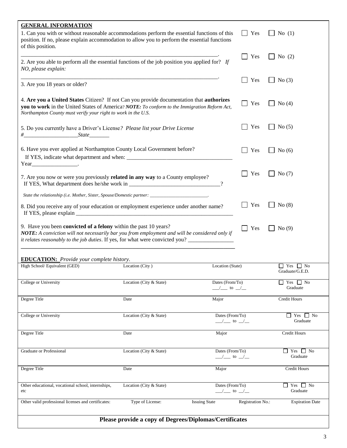| <b>GENERAL INFORMATION</b><br>1. Can you with or without reasonable accommodations perform the essential functions of this<br>position. If no, please explain accommodation to allow you to perform the essential functions<br>of this position.                                            |                                                        |                                                                 | Yes               | No $(1)$                                     |  |  |  |
|---------------------------------------------------------------------------------------------------------------------------------------------------------------------------------------------------------------------------------------------------------------------------------------------|--------------------------------------------------------|-----------------------------------------------------------------|-------------------|----------------------------------------------|--|--|--|
| 2. Are you able to perform all the essential functions of the job position you applied for? If<br>NO, please explain:                                                                                                                                                                       |                                                        |                                                                 | Yes               | No $(2)$                                     |  |  |  |
| 3. Are you 18 years or older?                                                                                                                                                                                                                                                               |                                                        | Yes                                                             | No(3)             |                                              |  |  |  |
| 4. Are you a United States Citizen? If not Can you provide documentation that authorizes<br>you to work in the United States of America? NOTE: To conform to the Immigration Reform Act,<br>Northampton County must verify your right to work in the U.S.                                   |                                                        |                                                                 | Yes               | No $(4)$                                     |  |  |  |
| 5. Do you currently have a Driver's License? Please list your Drive License                                                                                                                                                                                                                 |                                                        |                                                                 | Yes               | No $(5)$                                     |  |  |  |
| 6. Have you ever applied at Northampton County Local Government before?                                                                                                                                                                                                                     |                                                        |                                                                 | Yes               | No $(6)$                                     |  |  |  |
| $Year$ $\qquad \qquad$<br>7. Are you now or were you previously related in any way to a County employee?                                                                                                                                                                                    |                                                        | $\gamma$                                                        | Yes               | No $(7)$                                     |  |  |  |
| State the relationship (i.e. Mother, Sister, Spouse/Domestic partner: ____________________________.                                                                                                                                                                                         |                                                        |                                                                 |                   |                                              |  |  |  |
| Yes<br>No(8)<br>8. Did you receive any of your education or employment experience under another name?<br>If YES, please explain                                                                                                                                                             |                                                        |                                                                 |                   |                                              |  |  |  |
| 9. Have you been <b>convicted of a felony</b> within the past 10 years?<br>NOTE: A conviction will not necessarily bar you from employment and will be considered only if<br>it relates reasonably to the job duties. If yes, for what were convicted you? ________________________________ |                                                        |                                                                 | Yes               | No(9)                                        |  |  |  |
|                                                                                                                                                                                                                                                                                             |                                                        |                                                                 |                   |                                              |  |  |  |
| <b>EDUCATION:</b> Provide your complete history.<br>High School/ Equivalent (GED)                                                                                                                                                                                                           | Location (City)                                        | Location (State)                                                |                   | Yes<br>∣ No<br>Graduate/G.E.D.               |  |  |  |
| College or University                                                                                                                                                                                                                                                                       | Location (City & State)                                | Dates (From/To)<br>$\frac{\ }{2}$ to $\frac{\ }{2}$             |                   | Yes $\Box$ No<br>$\perp$<br>Graduate         |  |  |  |
| Degree Title                                                                                                                                                                                                                                                                                | Date                                                   | Major                                                           |                   | <b>Credit Hours</b>                          |  |  |  |
| College or University                                                                                                                                                                                                                                                                       | Location (City & State)                                | Dates (From/To)<br>$\frac{\ }{2}$ to $\frac{\ }{2}$             |                   | $\Box$ Yes<br>$\vert$ No<br>Graduate         |  |  |  |
| Degree Title                                                                                                                                                                                                                                                                                | Date                                                   | Major                                                           |                   | <b>Credit Hours</b>                          |  |  |  |
| Graduate or Professional                                                                                                                                                                                                                                                                    | Location (City & State)                                | Dates (From/To)<br>$\frac{\ }{2}$ to $\frac{\ }{2}$             |                   | Yes<br>$\Box$ No<br>$\mathsf{L}$<br>Graduate |  |  |  |
| Degree Title                                                                                                                                                                                                                                                                                | Date                                                   | Major                                                           |                   | <b>Credit Hours</b>                          |  |  |  |
| Other educational, vocational school, internships,<br>etc                                                                                                                                                                                                                                   | Location (City & State)                                | Dates (From/To)<br>$\frac{1}{\sqrt{2}}$ to $\frac{1}{\sqrt{2}}$ |                   | Yes<br>$\Box$ No<br>$\mathsf{L}$<br>Graduate |  |  |  |
| Other valid professional licenses and certificates:                                                                                                                                                                                                                                         | Type of License:                                       | <b>Issuing State</b>                                            | Registration No.: | <b>Expiration Date</b>                       |  |  |  |
|                                                                                                                                                                                                                                                                                             | Please provide a copy of Degrees/Diplomas/Certificates |                                                                 |                   |                                              |  |  |  |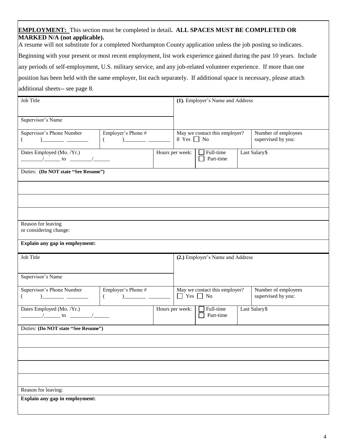#### **EMPLOYMENT:** This section must be completed in detail**. ALL SPACES MUST BE COMPLETED OR MARKED N/A (not applicable).**

A resume will not substitute for a completed Northampton County application unless the job posting so indicates. Beginning with your present or most recent employment, list work experience gained during the past 10 years. Include any periods of self-employment, U.S. military service, and any job-related volunteer experience. If more than one position has been held with the same employer, list each separately. If additional space is necessary, please attach additional sheets-- see page 8.

| Job Title                                                                                           |                                                 |                                                  | (1). Employer's Name and Address |                                           |
|-----------------------------------------------------------------------------------------------------|-------------------------------------------------|--------------------------------------------------|----------------------------------|-------------------------------------------|
|                                                                                                     |                                                 |                                                  |                                  |                                           |
| Supervisor's Name                                                                                   |                                                 |                                                  |                                  |                                           |
| Supervisor's Phone Number                                                                           | Employer's Phone #                              | May we contact this employer?<br>8 Yes $\Box$ No |                                  | Number of employees                       |
| €                                                                                                   | $\frac{1}{1}$<br>$\left($                       |                                                  |                                  | supervised by you:                        |
| Dates Employed (Mo. /Yr.)<br>$\frac{1}{\sqrt{1-\frac{1}{2}}}\$ to $\frac{1}{\sqrt{1-\frac{1}{2}}}\$ |                                                 | Hours per week:                                  | Full-time<br>Part-time           | Last Salary\$                             |
| Duties: (Do NOT state "See Resume")                                                                 |                                                 |                                                  |                                  |                                           |
|                                                                                                     |                                                 |                                                  |                                  |                                           |
|                                                                                                     |                                                 |                                                  |                                  |                                           |
|                                                                                                     |                                                 |                                                  |                                  |                                           |
| Reason for leaving<br>or considering change:                                                        |                                                 |                                                  |                                  |                                           |
| Explain any gap in employment:                                                                      |                                                 |                                                  |                                  |                                           |
| <b>Job Title</b>                                                                                    |                                                 |                                                  | (2.) Employer's Name and Address |                                           |
| Supervisor's Name                                                                                   |                                                 |                                                  |                                  |                                           |
|                                                                                                     |                                                 |                                                  |                                  |                                           |
| Supervisor's Phone Number<br>€                                                                      | Employer's Phone #<br>$\left($<br>$\mathcal{L}$ | $\Box$ Yes $\Box$ No                             | May we contact this employer?    | Number of employees<br>supervised by you: |
| Dates Employed (Mo. /Yr.)<br>$\frac{1}{\sqrt{1-\frac{1}{2}}}\$ to $\frac{1}{\sqrt{1-\frac{1}{2}}}\$ |                                                 | Hours per week:                                  | Full-time<br>Part-time           | Last Salary\$                             |
| Duties: (Do NOT state "See Resume")                                                                 |                                                 |                                                  |                                  |                                           |
|                                                                                                     |                                                 |                                                  |                                  |                                           |
|                                                                                                     |                                                 |                                                  |                                  |                                           |
|                                                                                                     |                                                 |                                                  |                                  |                                           |
|                                                                                                     |                                                 |                                                  |                                  |                                           |
|                                                                                                     |                                                 |                                                  |                                  |                                           |
| Reason for leaving:<br>Explain any gap in employment:                                               |                                                 |                                                  |                                  |                                           |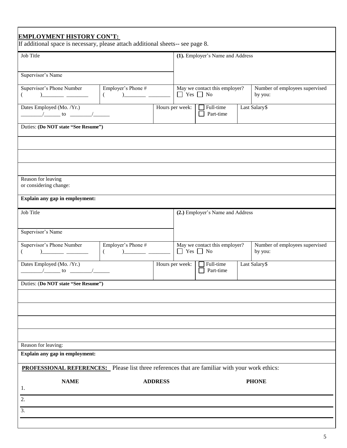| <b>EMPLOYMENT HISTORY CON'T:</b><br>If additional space is necessary, please attach additional sheets-- see page 8.                                                                                                                                                                                                                                                                                                                 |                                |                |                      |                                  |                                           |
|-------------------------------------------------------------------------------------------------------------------------------------------------------------------------------------------------------------------------------------------------------------------------------------------------------------------------------------------------------------------------------------------------------------------------------------|--------------------------------|----------------|----------------------|----------------------------------|-------------------------------------------|
| Job Title                                                                                                                                                                                                                                                                                                                                                                                                                           |                                |                |                      | (1). Employer's Name and Address |                                           |
|                                                                                                                                                                                                                                                                                                                                                                                                                                     |                                |                |                      |                                  |                                           |
| Supervisor's Name                                                                                                                                                                                                                                                                                                                                                                                                                   |                                |                |                      |                                  |                                           |
| Supervisor's Phone Number<br>€                                                                                                                                                                                                                                                                                                                                                                                                      | Employer's Phone #             |                | $\Box$ Yes $\Box$ No | May we contact this employer?    | Number of employees supervised<br>by you: |
| Dates Employed (Mo. /Yr.)<br>$\frac{1}{\sqrt{1-\frac{1}{2}}}\left(1-\frac{1}{2}\right)$ to $\frac{1}{\sqrt{1-\frac{1}{2}}}\left(1-\frac{1}{2}\right)$                                                                                                                                                                                                                                                                               |                                |                | Hours per week:      | $\Box$ Full-time<br>Part-time    | Last Salary\$                             |
| Duties: (Do NOT state "See Resume")                                                                                                                                                                                                                                                                                                                                                                                                 |                                |                |                      |                                  |                                           |
|                                                                                                                                                                                                                                                                                                                                                                                                                                     |                                |                |                      |                                  |                                           |
|                                                                                                                                                                                                                                                                                                                                                                                                                                     |                                |                |                      |                                  |                                           |
|                                                                                                                                                                                                                                                                                                                                                                                                                                     |                                |                |                      |                                  |                                           |
| Reason for leaving<br>or considering change:                                                                                                                                                                                                                                                                                                                                                                                        |                                |                |                      |                                  |                                           |
| Explain any gap in employment:                                                                                                                                                                                                                                                                                                                                                                                                      |                                |                |                      |                                  |                                           |
| Job Title                                                                                                                                                                                                                                                                                                                                                                                                                           |                                |                |                      | (2.) Employer's Name and Address |                                           |
| Supervisor's Name                                                                                                                                                                                                                                                                                                                                                                                                                   |                                |                |                      |                                  |                                           |
| Supervisor's Phone Number<br>)___________ _________<br>€                                                                                                                                                                                                                                                                                                                                                                            | Employer's Phone #<br>$\left($ |                | $\Box$ Yes $\Box$ No | May we contact this employer?    | Number of employees supervised<br>by you: |
| Dates Employed (Mo. /Yr.)<br>$\frac{1}{\sqrt{1-\frac{1}{2}}}\left( \frac{1}{2} + \frac{1}{2} + \frac{1}{2} + \frac{1}{2} + \frac{1}{2} + \frac{1}{2} + \frac{1}{2} + \frac{1}{2} + \frac{1}{2} + \frac{1}{2} + \frac{1}{2} + \frac{1}{2} + \frac{1}{2} + \frac{1}{2} + \frac{1}{2} + \frac{1}{2} + \frac{1}{2} + \frac{1}{2} + \frac{1}{2} + \frac{1}{2} + \frac{1}{2} + \frac{1}{2} + \frac{1}{2} + \frac{1}{2} + \frac{1}{2} + \$ |                                |                | Hours per week:      | $\Box$ Full-time<br>Part-time    | Last Salary\$                             |
| Duties: (Do NOT state "See Resume")                                                                                                                                                                                                                                                                                                                                                                                                 |                                |                |                      |                                  |                                           |
|                                                                                                                                                                                                                                                                                                                                                                                                                                     |                                |                |                      |                                  |                                           |
|                                                                                                                                                                                                                                                                                                                                                                                                                                     |                                |                |                      |                                  |                                           |
|                                                                                                                                                                                                                                                                                                                                                                                                                                     |                                |                |                      |                                  |                                           |
|                                                                                                                                                                                                                                                                                                                                                                                                                                     |                                |                |                      |                                  |                                           |
| Reason for leaving:                                                                                                                                                                                                                                                                                                                                                                                                                 |                                |                |                      |                                  |                                           |
| Explain any gap in employment:                                                                                                                                                                                                                                                                                                                                                                                                      |                                |                |                      |                                  |                                           |
| <b>PROFESSIONAL REFERENCES:</b> Please list three references that are familiar with your work ethics:                                                                                                                                                                                                                                                                                                                               |                                |                |                      |                                  |                                           |
| <b>NAME</b><br>1.                                                                                                                                                                                                                                                                                                                                                                                                                   |                                | <b>ADDRESS</b> |                      |                                  | <b>PHONE</b>                              |
| 2.                                                                                                                                                                                                                                                                                                                                                                                                                                  |                                |                |                      |                                  |                                           |
| 3.                                                                                                                                                                                                                                                                                                                                                                                                                                  |                                |                |                      |                                  |                                           |
|                                                                                                                                                                                                                                                                                                                                                                                                                                     |                                |                |                      |                                  |                                           |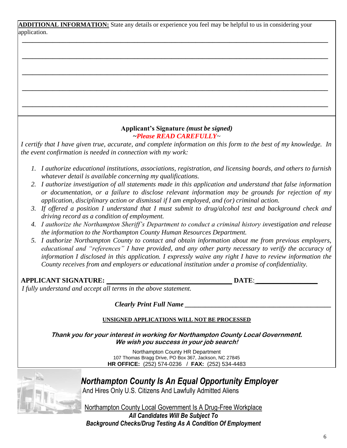**ADDITIONAL INFORMATION:** State any details or experience you feel may be helpful to us in considering your application.

**\_\_\_\_\_\_\_\_\_\_\_\_\_\_\_\_\_\_\_\_\_\_\_\_\_\_\_\_\_\_\_\_\_\_\_\_\_\_\_\_\_\_\_\_\_\_\_\_\_\_\_\_\_\_\_\_\_\_\_\_\_\_\_\_\_\_\_\_\_\_\_\_\_\_\_\_\_\_\_\_\_\_\_\_\_\_\_\_\_\_**

**\_\_\_\_\_\_\_\_\_\_\_\_\_\_\_\_\_\_\_\_\_\_\_\_\_\_\_\_\_\_\_\_\_\_\_\_\_\_\_\_\_\_\_\_\_\_\_\_\_\_\_\_\_\_\_\_\_\_\_\_\_\_\_\_\_\_\_\_\_\_\_\_\_\_\_\_\_\_\_\_\_\_\_\_\_\_\_\_\_\_**

**\_\_\_\_\_\_\_\_\_\_\_\_\_\_\_\_\_\_\_\_\_\_\_\_\_\_\_\_\_\_\_\_\_\_\_\_\_\_\_\_\_\_\_\_\_\_\_\_\_\_\_\_\_\_\_\_\_\_\_\_\_\_\_\_\_\_\_\_\_\_\_\_\_\_\_\_\_\_\_\_\_\_\_\_\_\_\_\_\_\_**

**\_\_\_\_\_\_\_\_\_\_\_\_\_\_\_\_\_\_\_\_\_\_\_\_\_\_\_\_\_\_\_\_\_\_\_\_\_\_\_\_\_\_\_\_\_\_\_\_\_\_\_\_\_\_\_\_\_\_\_\_\_\_\_\_\_\_\_\_\_\_\_\_\_\_\_\_\_\_\_\_\_\_\_\_\_\_\_\_\_\_**

**\_\_\_\_\_\_\_\_\_\_\_\_\_\_\_\_\_\_\_\_\_\_\_\_\_\_\_\_\_\_\_\_\_\_\_\_\_\_\_\_\_\_\_\_\_\_\_\_\_\_\_\_\_\_\_\_\_\_\_\_\_\_\_\_\_\_\_\_\_\_\_\_\_\_\_\_\_\_\_\_\_\_\_\_\_\_\_\_\_\_**

#### **Applicant's Signature** *(must be signed) ~Please READ CAREFULLY*~

*I certify that I have given true, accurate, and complete information on this form to the best of my knowledge. In the event confirmation is needed in connection with my work:*

- *1. I authorize educational institutions, associations, registration, and licensing boards, and others to furnish whatever detail is available concerning my qualifications.*
- *2. I authorize investigation of all statements made in this application and understand that false information or documentation, or a failure to disclose relevant information may be grounds for rejection of my application, disciplinary action or dismissal if I am employed, and (or) criminal action.*
- *3. If offered a position I understand that I must submit to drug/alcohol test and background check and driving record as a condition of employment.*
- *4. I authorize the Northampton Sheriff's Department to conduct a criminal history investigation and release the information to the Northampton County Human Resources Department.*
- *5. I authorize Northampton County to contact and obtain information about me from previous employers, educational and "references" I have provided, and any other party necessary to verify the accuracy of information I disclosed in this application. I expressly waive any right I have to review information the County receives from and employers or educational institution under a promise of confidentiality.*

#### **APPLICANT SIGNATURE: DATE**: \_\_\_\_\_\_\_\_\_\_\_\_\_\_\_\_\_\_

*I fully understand and accept all terms in the above statement.*

*Clearly Print Full Name \_\_\_\_\_\_\_\_\_\_\_\_\_\_\_\_\_\_\_\_\_\_\_\_\_\_\_\_\_\_\_\_\_\_\_\_\_\_\_\_\_\_\_*

#### **UNSIGNED APPLICATIONS WILL NOT BE PROCESSED**

**Thank you for your interest in working for Northampton County Local Government. We wish you success in your job search!**

> Northampton County HR Department 107 Thomas Bragg Drive, PO Box 367, Jackson, NC 27845 **HR OFFICE:** (252) 574-0236 / **FAX:** (252) 534-4483



 *Northampton County Is An Equal Opportunity Employer* 

And Hires Only U.S. Citizens And Lawfully Admitted Aliens

Northampton County Local Government Is A Drug-Free Workplace

*All Candidates Will Be Subject To Background Checks/Drug Testing As A Condition Of Employment*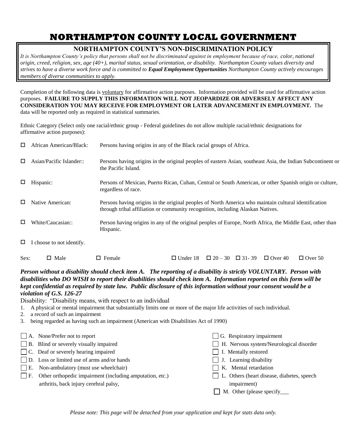### **NORTHAMPTON COUNTY LOCAL GOVERNMENT**

#### **NORTHAMPTON COUNTY'S NON-DISCRIMINATION POLICY**

*It is Northampton County's policy that persons shall not be discriminated against in employment because of race, color, national origin, creed, religion, sex, age (40+), marital status, sexual orientation, or disability. Northampton County values diversity and strives to have a diverse work force and is committed to Equal Employment Opportunities Northampton County actively encourages members of diverse communities to apply.*

Completion of the following data is voluntary for affirmative action purposes. Information provided will be used for affirmative action purposes. **FAILURE TO SUPPLY THIS INFORMATION WILL NOT JEOPARDIZE OR ADVERSELY AFFECT ANY CONSIDERATION YOU MAY RECEIVE FOR EMPLOYMENT OR LATER ADVANCEMENT IN EMPLOYMENT.** The data will be reported only as required in statistical summaries.

Ethnic Category (Select only one racial/ethnic group - Federal guidelines do not allow multiple racial/ethnic designations for affirmative action purposes):

| □ | African American/Black:   | Persons having origins in any of the Black racial groups of Africa.                                                                                                                     |
|---|---------------------------|-----------------------------------------------------------------------------------------------------------------------------------------------------------------------------------------|
| □ | Asian/Pacific Islander::  | Persons having origins in the original peoples of eastern Asian, southeast Asia, the Indian Subcontinent or<br>the Pacific Island.                                                      |
| □ | Hispanic:                 | Persons of Mexican, Puerto Rican, Cuban, Central or South American, or other Spanish origin or culture,<br>regardless of race.                                                          |
| □ | Native American:          | Persons having origins in the original peoples of North America who maintain cultural identification<br>through tribal affiliation or community recognition, including Alaskan Natives. |
| □ | White/Caucasian::         | Person having origins in any of the original peoples of Europe, North Africa, the Middle East, other than<br>Hispanic.                                                                  |
| □ | I choose to not identify. |                                                                                                                                                                                         |

| Sex: | $\Box$ Male | $\Box$ Female |  | $\Box$ Under 18 $\Box$ 20 - 30 $\Box$ 31-39 $\Box$ Over 40 $\Box$ Over 50 |  |
|------|-------------|---------------|--|---------------------------------------------------------------------------|--|
|      |             |               |  |                                                                           |  |

#### *Person without a disability should check item A. The reporting of a disability is strictly VOLUNTARY. Person with disabilities who DO WISH to report their disabilities should check item A. Information reported on this form will be kept confidential as required by state law. Public disclosure of this information without your consent would be a violation of G.S. 126-27*

Disability: "Disability means, with respect to an individual

- 1. A physical or mental impairment that substantially limits one or more of the major life activities of such individual.
- 2. a record of such an impairment
- 3. being regarded as having such an impairment (American with Disabilities Act of 1990)

| $\Box$ A. None/Prefer not to report                                | $\Box$ G. Respiratory impairment             |
|--------------------------------------------------------------------|----------------------------------------------|
| $\Box$ B. Blind or severely visually impaired                      | H. Nervous system/Neurological disorder      |
| $\Box$ C. Deaf or severely hearing impaired                        | $\Box$ I. Mentally restored                  |
| D. Loss or limited use of arms and/or hands                        | $\Box$ J. Learning disability                |
| $\Box$ E. Non-ambulatory (must use wheelchair)                     | K. Mental retardation                        |
| $\Box$ F. Other orthopedic impairment (including amputation, etc.) | □ L. Others (heart disease, diabetes, speech |
| arthritis, back injury cerebral palsy,                             | impairment)                                  |
|                                                                    | $\Box$ M. Other (please specify $\Box$       |
|                                                                    |                                              |

*Please note: This page will be detached from your application and kept for stats data only.*